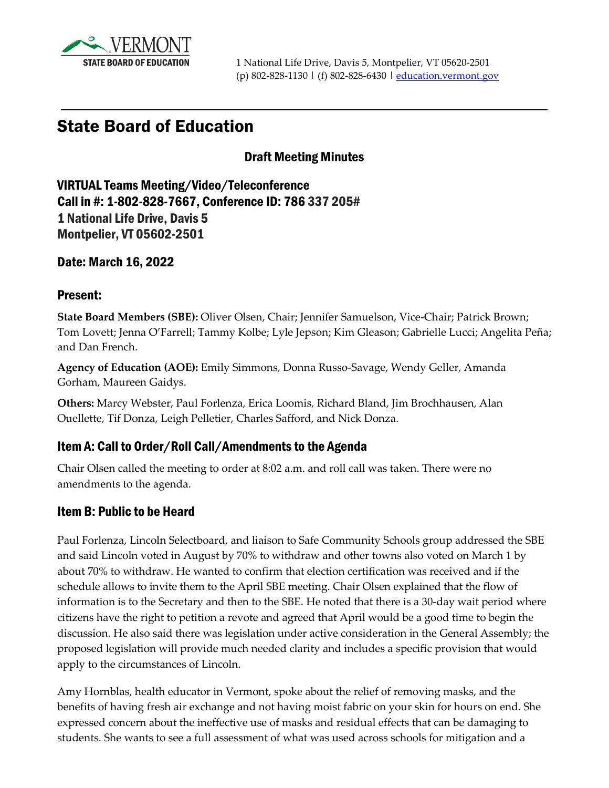

# State Board of Education

#### Draft Meeting Minutes

VIRTUAL Teams Meeting/Video/Teleconference Call in #: 1-802-828-7667, Conference ID: 786 337 205# 1 National Life Drive, Davis 5 Montpelier, VT 05602-2501

Date: March 16, 2022

#### Present:

**State Board Members (SBE):** Oliver Olsen, Chair; Jennifer Samuelson, Vice-Chair; Patrick Brown; Tom Lovett; Jenna O'Farrell; Tammy Kolbe; Lyle Jepson; Kim Gleason; Gabrielle Lucci; Angelita Peña; and Dan French.

**Agency of Education (AOE):** Emily Simmons, Donna Russo-Savage, Wendy Geller, Amanda Gorham, Maureen Gaidys.

**Others:** Marcy Webster, Paul Forlenza, Erica Loomis, Richard Bland, Jim Brochhausen, Alan Ouellette, Tif Donza, Leigh Pelletier, Charles Safford, and Nick Donza.

#### Item A: Call to Order/Roll Call/Amendments to the Agenda

Chair Olsen called the meeting to order at 8:02 a.m. and roll call was taken. There were no amendments to the agenda.

#### Item B: Public to be Heard

Paul Forlenza, Lincoln Selectboard, and liaison to Safe Community Schools group addressed the SBE and said Lincoln voted in August by 70% to withdraw and other towns also voted on March 1 by about 70% to withdraw. He wanted to confirm that election certification was received and if the schedule allows to invite them to the April SBE meeting. Chair Olsen explained that the flow of information is to the Secretary and then to the SBE. He noted that there is a 30-day wait period where citizens have the right to petition a revote and agreed that April would be a good time to begin the discussion. He also said there was legislation under active consideration in the General Assembly; the proposed legislation will provide much needed clarity and includes a specific provision that would apply to the circumstances of Lincoln.

Amy Hornblas, health educator in Vermont, spoke about the relief of removing masks, and the benefits of having fresh air exchange and not having moist fabric on your skin for hours on end. She expressed concern about the ineffective use of masks and residual effects that can be damaging to students. She wants to see a full assessment of what was used across schools for mitigation and a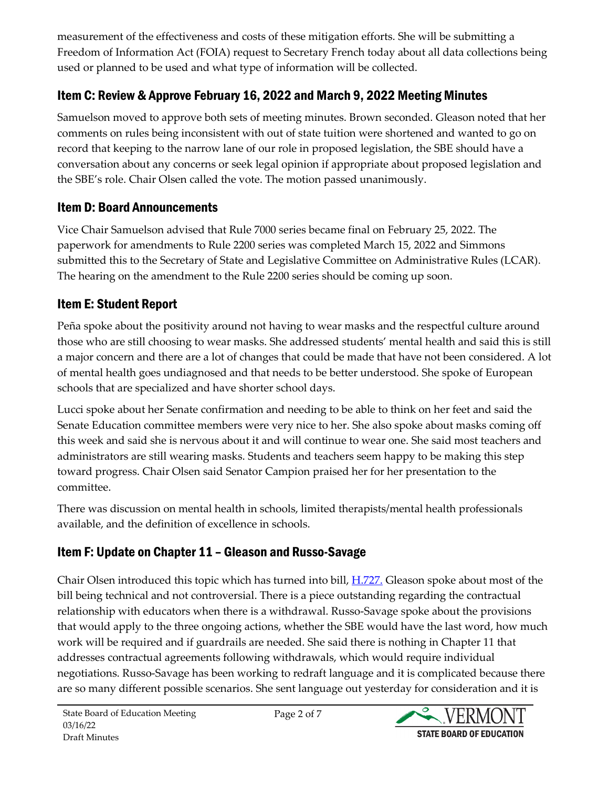measurement of the effectiveness and costs of these mitigation efforts. She will be submitting a Freedom of Information Act (FOIA) request to Secretary French today about all data collections being used or planned to be used and what type of information will be collected.

### Item C: Review & Approve February 16, 2022 and March 9, 2022 Meeting Minutes

Samuelson moved to approve both sets of meeting minutes. Brown seconded. Gleason noted that her comments on rules being inconsistent with out of state tuition were shortened and wanted to go on record that keeping to the narrow lane of our role in proposed legislation, the SBE should have a conversation about any concerns or seek legal opinion if appropriate about proposed legislation and the SBE's role. Chair Olsen called the vote. The motion passed unanimously.

#### Item D: Board Announcements

Vice Chair Samuelson advised that Rule 7000 series became final on February 25, 2022. The paperwork for amendments to Rule 2200 series was completed March 15, 2022 and Simmons submitted this to the Secretary of State and Legislative Committee on Administrative Rules (LCAR). The hearing on the amendment to the Rule 2200 series should be coming up soon.

### Item E: Student Report

Peña spoke about the positivity around not having to wear masks and the respectful culture around those who are still choosing to wear masks. She addressed students' mental health and said this is still a major concern and there are a lot of changes that could be made that have not been considered. A lot of mental health goes undiagnosed and that needs to be better understood. She spoke of European schools that are specialized and have shorter school days.

Lucci spoke about her Senate confirmation and needing to be able to think on her feet and said the Senate Education committee members were very nice to her. She also spoke about masks coming off this week and said she is nervous about it and will continue to wear one. She said most teachers and administrators are still wearing masks. Students and teachers seem happy to be making this step toward progress. Chair Olsen said Senator Campion praised her for her presentation to the committee.

There was discussion on mental health in schools, limited therapists/mental health professionals available, and the definition of excellence in schools.

### Item F: Update on Chapter 11 – Gleason and Russo-Savage

Chair Olsen introduced this topic which has turned into bill, [H.727.](https://legislature.vermont.gov/bill/status/2022/H.727) Gleason spoke about most of the bill being technical and not controversial. There is a piece outstanding regarding the contractual relationship with educators when there is a withdrawal. Russo-Savage spoke about the provisions that would apply to the three ongoing actions, whether the SBE would have the last word, how much work will be required and if guardrails are needed. She said there is nothing in Chapter 11 that addresses contractual agreements following withdrawals, which would require individual negotiations. Russo-Savage has been working to redraft language and it is complicated because there are so many different possible scenarios. She sent language out yesterday for consideration and it is

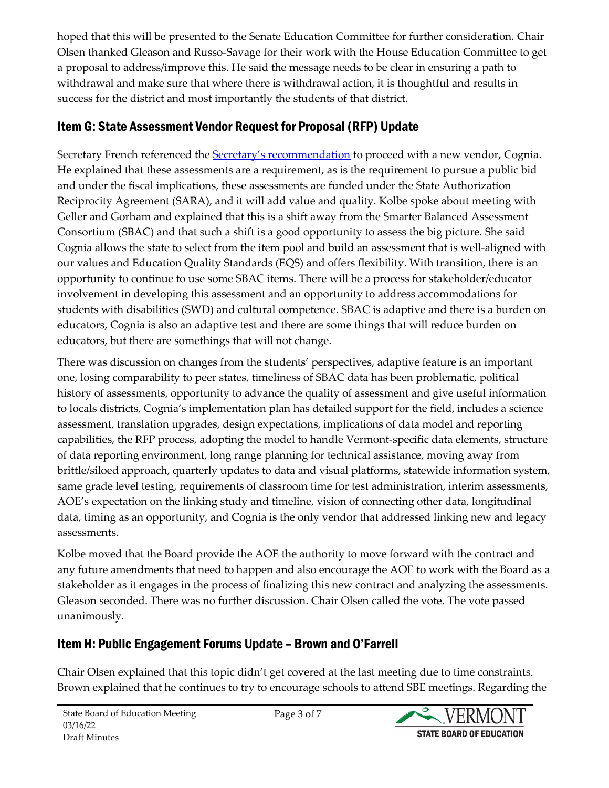hoped that this will be presented to the Senate Education Committee for further consideration. Chair Olsen thanked Gleason and Russo-Savage for their work with the House Education Committee to get a proposal to address/improve this. He said the message needs to be clear in ensuring a path to withdrawal and make sure that where there is withdrawal action, it is thoughtful and results in success for the district and most importantly the students of that district.

## Item G: State Assessment Vendor Request for Proposal (RFP) Update

Secretary French referenced the **Secretary's recommendation** to proceed with a new vendor, Cognia. He explained that these assessments are a requirement, as is the requirement to pursue a public bid and under the fiscal implications, these assessments are funded under the State Authorization Reciprocity Agreement (SARA), and it will add value and quality. Kolbe spoke about meeting with Geller and Gorham and explained that this is a shift away from the Smarter Balanced Assessment Consortium (SBAC) and that such a shift is a good opportunity to assess the big picture. She said Cognia allows the state to select from the item pool and build an assessment that is well-aligned with our values and Education Quality Standards (EQS) and offers flexibility. With transition, there is an opportunity to continue to use some SBAC items. There will be a process for stakeholder/educator involvement in developing this assessment and an opportunity to address accommodations for students with disabilities (SWD) and cultural competence. SBAC is adaptive and there is a burden on educators, Cognia is also an adaptive test and there are some things that will reduce burden on educators, but there are somethings that will not change.

There was discussion on changes from the students' perspectives, adaptive feature is an important one, losing comparability to peer states, timeliness of SBAC data has been problematic, political history of assessments, opportunity to advance the quality of assessment and give useful information to locals districts, Cognia's implementation plan has detailed support for the field, includes a science assessment, translation upgrades, design expectations, implications of data model and reporting capabilities, the RFP process, adopting the model to handle Vermont-specific data elements, structure of data reporting environment, long range planning for technical assistance, moving away from brittle/siloed approach, quarterly updates to data and visual platforms, statewide information system, same grade level testing, requirements of classroom time for test administration, interim assessments, AOE's expectation on the linking study and timeline, vision of connecting other data, longitudinal data, timing as an opportunity, and Cognia is the only vendor that addressed linking new and legacy assessments.

Kolbe moved that the Board provide the AOE the authority to move forward with the contract and any future amendments that need to happen and also encourage the AOE to work with the Board as a stakeholder as it engages in the process of finalizing this new contract and analyzing the assessments. Gleason seconded. There was no further discussion. Chair Olsen called the vote. The vote passed unanimously.

### Item H: Public Engagement Forums Update – Brown and O'Farrell

Chair Olsen explained that this topic didn't get covered at the last meeting due to time constraints. Brown explained that he continues to try to encourage schools to attend SBE meetings. Regarding the

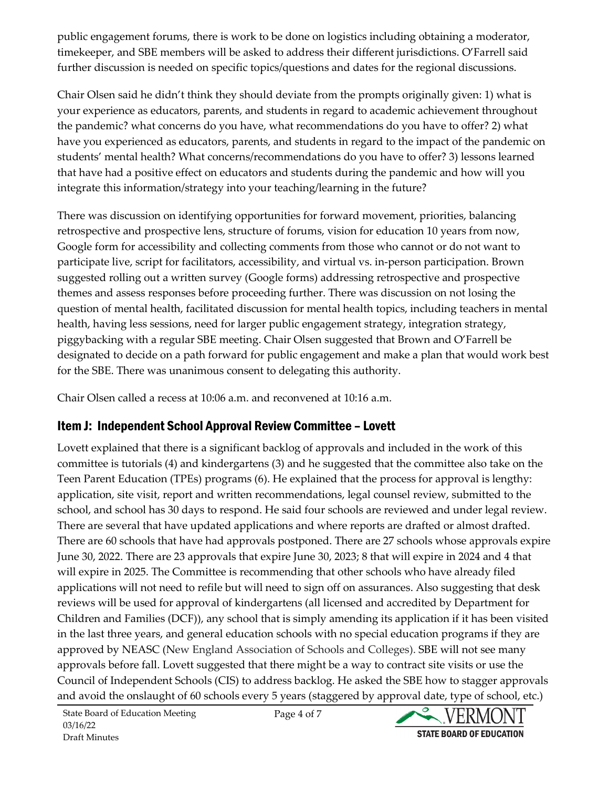public engagement forums, there is work to be done on logistics including obtaining a moderator, timekeeper, and SBE members will be asked to address their different jurisdictions. O'Farrell said further discussion is needed on specific topics/questions and dates for the regional discussions.

Chair Olsen said he didn't think they should deviate from the prompts originally given: 1) what is your experience as educators, parents, and students in regard to academic achievement throughout the pandemic? what concerns do you have, what recommendations do you have to offer? 2) what have you experienced as educators, parents, and students in regard to the impact of the pandemic on students' mental health? What concerns/recommendations do you have to offer? 3) lessons learned that have had a positive effect on educators and students during the pandemic and how will you integrate this information/strategy into your teaching/learning in the future?

There was discussion on identifying opportunities for forward movement, priorities, balancing retrospective and prospective lens, structure of forums, vision for education 10 years from now, Google form for accessibility and collecting comments from those who cannot or do not want to participate live, script for facilitators, accessibility, and virtual vs. in-person participation. Brown suggested rolling out a written survey (Google forms) addressing retrospective and prospective themes and assess responses before proceeding further. There was discussion on not losing the question of mental health, facilitated discussion for mental health topics, including teachers in mental health, having less sessions, need for larger public engagement strategy, integration strategy, piggybacking with a regular SBE meeting. Chair Olsen suggested that Brown and O'Farrell be designated to decide on a path forward for public engagement and make a plan that would work best for the SBE. There was unanimous consent to delegating this authority.

Chair Olsen called a recess at 10:06 a.m. and reconvened at 10:16 a.m.

#### Item J: Independent School Approval Review Committee – Lovett

Lovett explained that there is a significant backlog of approvals and included in the work of this committee is tutorials (4) and kindergartens (3) and he suggested that the committee also take on the Teen Parent Education (TPEs) programs (6). He explained that the process for approval is lengthy: application, site visit, report and written recommendations, legal counsel review, submitted to the school, and school has 30 days to respond. He said four schools are reviewed and under legal review. There are several that have updated applications and where reports are drafted or almost drafted. There are 60 schools that have had approvals postponed. There are 27 schools whose approvals expire June 30, 2022. There are 23 approvals that expire June 30, 2023; 8 that will expire in 2024 and 4 that will expire in 2025. The Committee is recommending that other schools who have already filed applications will not need to refile but will need to sign off on assurances. Also suggesting that desk reviews will be used for approval of kindergartens (all licensed and accredited by Department for Children and Families (DCF)), any school that is simply amending its application if it has been visited in the last three years, and general education schools with no special education programs if they are approved by NEASC (New England Association of Schools and Colleges). SBE will not see many approvals before fall. Lovett suggested that there might be a way to contract site visits or use the Council of Independent Schools (CIS) to address backlog. He asked the SBE how to stagger approvals and avoid the onslaught of 60 schools every 5 years (staggered by approval date, type of school, etc.)

Page 4 of 7

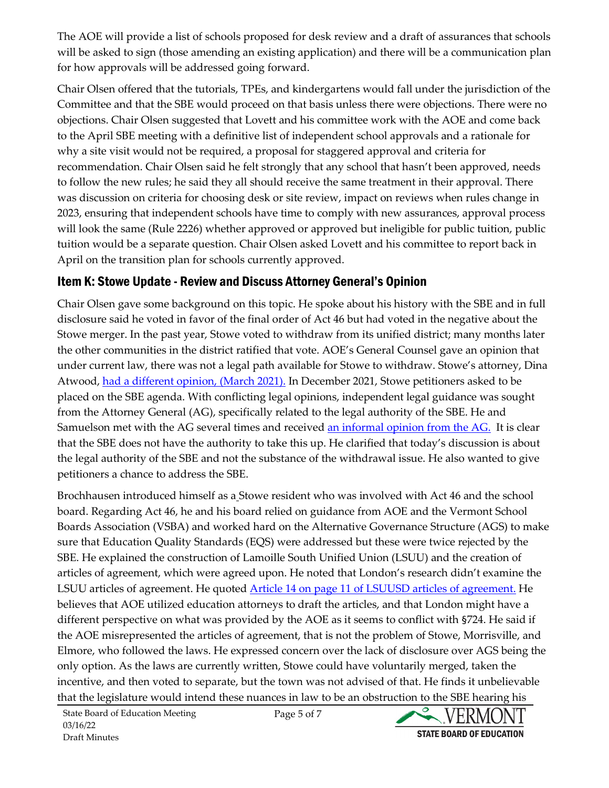The AOE will provide a list of schools proposed for desk review and a draft of assurances that schools will be asked to sign (those amending an existing application) and there will be a communication plan for how approvals will be addressed going forward.

Chair Olsen offered that the tutorials, TPEs, and kindergartens would fall under the jurisdiction of the Committee and that the SBE would proceed on that basis unless there were objections. There were no objections. Chair Olsen suggested that Lovett and his committee work with the AOE and come back to the April SBE meeting with a definitive list of independent school approvals and a rationale for why a site visit would not be required, a proposal for staggered approval and criteria for recommendation. Chair Olsen said he felt strongly that any school that hasn't been approved, needs to follow the new rules; he said they all should receive the same treatment in their approval. There was discussion on criteria for choosing desk or site review, impact on reviews when rules change in 2023, ensuring that independent schools have time to comply with new assurances, approval process will look the same (Rule 2226) whether approved or approved but ineligible for public tuition, public tuition would be a separate question. Chair Olsen asked Lovett and his committee to report back in April on the transition plan for schools currently approved.

#### Item K: Stowe Update - Review and Discuss Attorney General's Opinion

Chair Olsen gave some background on this topic. He spoke about his history with the SBE and in full disclosure said he voted in favor of the final order of Act 46 but had voted in the negative about the Stowe merger. In the past year, Stowe voted to withdraw from its unified district; many months later the other communities in the district ratified that vote. AOE's General Counsel gave an opinion that under current law, there was not a legal path available for Stowe to withdraw. Stowe's attorney, Dina Atwood, [had a different opinion, \(March 2021\).](https://education.vermont.gov/document/edu-state-board-item-k-letter%20from%20Atwood-03-16-22) In December 2021, Stowe petitioners asked to be placed on the SBE agenda. With conflicting legal opinions, independent legal guidance was sought from the Attorney General (AG), specifically related to the legal authority of the SBE. He and Samuelson met with the AG several times and received [an informal opinion from the AG.](https://education.vermont.gov/document/edu-state-board-item%20k-letter%20from%20office%20of%20attorney%20general-03-16-22) It is clear that the SBE does not have the authority to take this up. He clarified that today's discussion is about the legal authority of the SBE and not the substance of the withdrawal issue. He also wanted to give petitioners a chance to address the SBE.

Brochhausen introduced himself as a Stowe resident who was involved with Act 46 and the school board. Regarding Act 46, he and his board relied on guidance from AOE and the Vermont School Boards Association (VSBA) and worked hard on the Alternative Governance Structure (AGS) to make sure that Education Quality Standards (EQS) were addressed but these were twice rejected by the SBE. He explained the construction of Lamoille South Unified Union (LSUU) and the creation of articles of agreement, which were agreed upon. He noted that London's research didn't examine the LSUU articles of agreement. He quoted [Article 14 on page 11 of LSUUSD articles of agreement.](https://education.vermont.gov/documents/act46-sbe-default-articles-lamoille-south-uusd) He believes that AOE utilized education attorneys to draft the articles, and that London might have a different perspective on what was provided by the AOE as it seems to conflict with §724. He said if the AOE misrepresented the articles of agreement, that is not the problem of Stowe, Morrisville, and Elmore, who followed the laws. He expressed concern over the lack of disclosure over AGS being the only option. As the laws are currently written, Stowe could have voluntarily merged, taken the incentive, and then voted to separate, but the town was not advised of that. He finds it unbelievable that the legislature would intend these nuances in law to be an obstruction to the SBE hearing his

Page 5 of 7

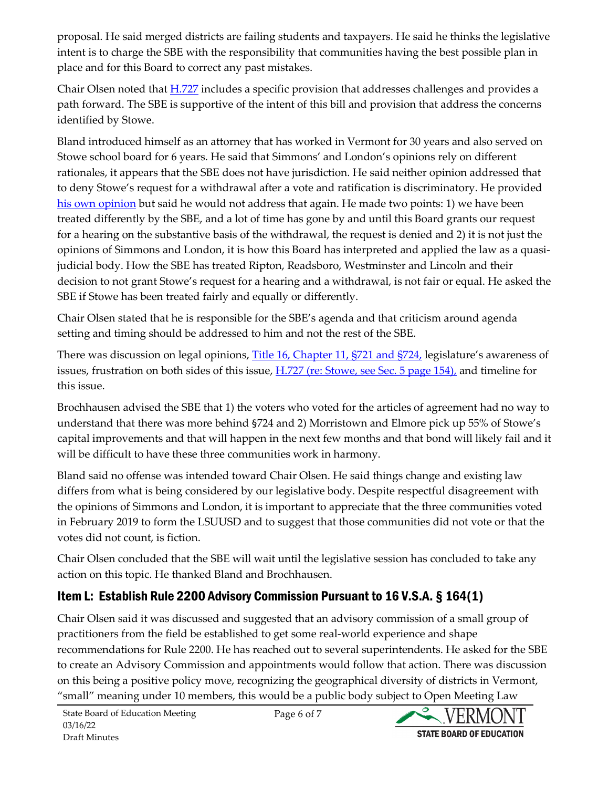proposal. He said merged districts are failing students and taxpayers. He said he thinks the legislative intent is to charge the SBE with the responsibility that communities having the best possible plan in place and for this Board to correct any past mistakes.

Chair Olsen noted that  $H.727$  includes a specific provision that addresses challenges and provides a path forward. The SBE is supportive of the intent of this bill and provision that address the concerns identified by Stowe.

Bland introduced himself as an attorney that has worked in Vermont for 30 years and also served on Stowe school board for 6 years. He said that Simmons' and London's opinions rely on different rationales, it appears that the SBE does not have jurisdiction. He said neither opinion addressed that to deny Stowe's request for a withdrawal after a vote and ratification is discriminatory. He provided [his own opinion](https://education.vermont.gov/document/edu-state-board-item-k-opinion%20letter%20from%20former%20stowe%20school%20board%20directors-03-16-22) but said he would not address that again. He made two points: 1) we have been treated differently by the SBE, and a lot of time has gone by and until this Board grants our request for a hearing on the substantive basis of the withdrawal, the request is denied and 2) it is not just the opinions of Simmons and London, it is how this Board has interpreted and applied the law as a quasijudicial body. How the SBE has treated Ripton, Readsboro, Westminster and Lincoln and their decision to not grant Stowe's request for a hearing and a withdrawal, is not fair or equal. He asked the SBE if Stowe has been treated fairly and equally or differently.

Chair Olsen stated that he is responsible for the SBE's agenda and that criticism around agenda setting and timing should be addressed to him and not the rest of the SBE.

There was discussion on legal opinions, [Title 16, Chapter 11, §721 and §724,](https://legislature.vermont.gov/statutes/fullchapter/16/011) legislature's awareness of issues, frustration on both sides of this issue,  $H.727$  (re: Stowe, see Sec. 5 page 154), and timeline for this issue.

Brochhausen advised the SBE that 1) the voters who voted for the articles of agreement had no way to understand that there was more behind §724 and 2) Morristown and Elmore pick up 55% of Stowe's capital improvements and that will happen in the next few months and that bond will likely fail and it will be difficult to have these three communities work in harmony.

Bland said no offense was intended toward Chair Olsen. He said things change and existing law differs from what is being considered by our legislative body. Despite respectful disagreement with the opinions of Simmons and London, it is important to appreciate that the three communities voted in February 2019 to form the LSUUSD and to suggest that those communities did not vote or that the votes did not count, is fiction.

Chair Olsen concluded that the SBE will wait until the legislative session has concluded to take any action on this topic. He thanked Bland and Brochhausen.

### Item L: Establish Rule 2200 Advisory Commission Pursuant to 16 V.S.A. § 164(1)

Chair Olsen said it was discussed and suggested that an advisory commission of a small group of practitioners from the field be established to get some real-world experience and shape recommendations for Rule 2200. He has reached out to several superintendents. He asked for the SBE to create an Advisory Commission and appointments would follow that action. There was discussion on this being a positive policy move, recognizing the geographical diversity of districts in Vermont, "small" meaning under 10 members, this would be a public body subject to Open Meeting Law